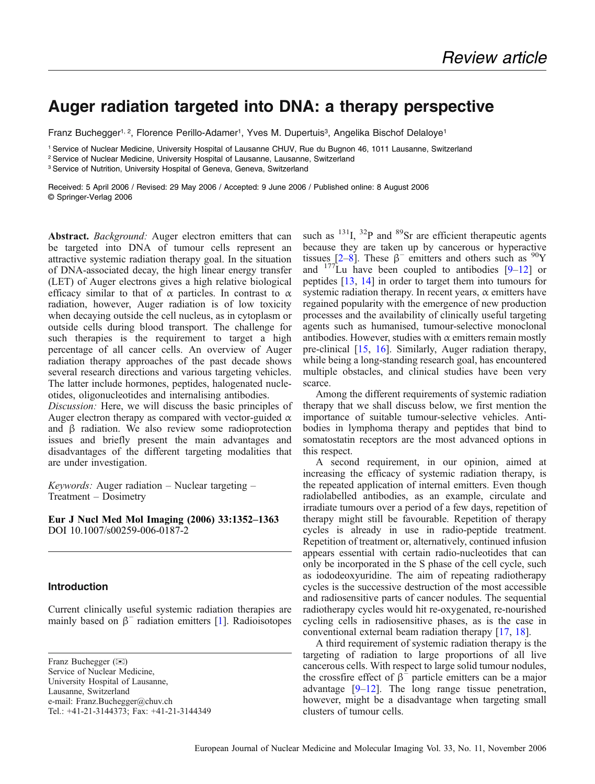# Auger radiation targeted into DNA: a therapy perspective

Franz Buchegger<sup>1, 2</sup>, Florence Perillo-Adamer<sup>1</sup>, Yves M. Dupertuis<sup>3</sup>, Angelika Bischof Delaloye<sup>1</sup>

<sup>1</sup> Service of Nuclear Medicine, University Hospital of Lausanne CHUV, Rue du Bugnon 46, 1011 Lausanne, Switzerland

<sup>2</sup> Service of Nuclear Medicine, University Hospital of Lausanne, Lausanne, Switzerland

<sup>3</sup> Service of Nutrition, University Hospital of Geneva, Geneva, Switzerland

Received: 5 April 2006 / Revised: 29 May 2006 / Accepted: 9 June 2006 / Published online: 8 August 2006 © Springer-Verlag 2006

Abstract. Background: Auger electron emitters that can be targeted into DNA of tumour cells represent an attractive systemic radiation therapy goal. In the situation of DNA-associated decay, the high linear energy transfer (LET) of Auger electrons gives a high relative biological efficacy similar to that of  $\alpha$  particles. In contrast to  $\alpha$ radiation, however, Auger radiation is of low toxicity when decaying outside the cell nucleus, as in cytoplasm or outside cells during blood transport. The challenge for such therapies is the requirement to target a high percentage of all cancer cells. An overview of Auger radiation therapy approaches of the past decade shows several research directions and various targeting vehicles. The latter include hormones, peptides, halogenated nucleotides, oligonucleotides and internalising antibodies.

Discussion: Here, we will discuss the basic principles of Auger electron therapy as compared with vector-guided  $\alpha$ and β radiation. We also review some radioprotection issues and briefly present the main advantages and disadvantages of the different targeting modalities that are under investigation.

Keywords: Auger radiation – Nuclear targeting – Treatment – Dosimetry

Eur J Nucl Med Mol Imaging (2006) 33:1352*–*1363 DOI 10.1007/s00259-006-0187-2

## Introduction

Current clinically useful systemic radiation therapies are mainly based on  $\beta^-$  radiation emitters [\[1](#page-8-0)]. Radioisotopes

Franz Buchegger ( $\boxtimes$ ) Service of Nuclear Medicine, University Hospital of Lausanne, Lausanne, Switzerland e-mail: Franz.Buchegger@chuv.ch Tel.: +41-21-3144373; Fax: +41-21-3144349

such as  $^{131}$ I,  $^{32}$ P and  $^{89}$ Sr are efficient therapeutic agents because they are taken up by cancerous or hyperactive tissues [[2](#page-8-0)–[8](#page-8-0)]. These  $\beta^-$  emitters and others such as <sup>90</sup>Y and  $177$  Lu have been coupled to antibodies  $[9-12]$  $[9-12]$  $[9-12]$  $[9-12]$  or peptides [[13](#page-8-0), [14\]](#page-9-0) in order to target them into tumours for systemic radiation therapy. In recent years,  $\alpha$  emitters have regained popularity with the emergence of new production processes and the availability of clinically useful targeting agents such as humanised, tumour-selective monoclonal antibodies. However, studies with  $\alpha$  emitters remain mostly pre-clinical [\[15,](#page-9-0) [16](#page-9-0)]. Similarly, Auger radiation therapy, while being a long-standing research goal, has encountered multiple obstacles, and clinical studies have been very scarce.

Among the different requirements of systemic radiation therapy that we shall discuss below, we first mention the importance of suitable tumour-selective vehicles. Antibodies in lymphoma therapy and peptides that bind to somatostatin receptors are the most advanced options in this respect.

A second requirement, in our opinion, aimed at increasing the efficacy of systemic radiation therapy, is the repeated application of internal emitters. Even though radiolabelled antibodies, as an example, circulate and irradiate tumours over a period of a few days, repetition of therapy might still be favourable. Repetition of therapy cycles is already in use in radio-peptide treatment. Repetition of treatment or, alternatively, continued infusion appears essential with certain radio-nucleotides that can only be incorporated in the S phase of the cell cycle, such as iododeoxyuridine. The aim of repeating radiotherapy cycles is the successive destruction of the most accessible and radiosensitive parts of cancer nodules. The sequential radiotherapy cycles would hit re-oxygenated, re-nourished cycling cells in radiosensitive phases, as is the case in conventional external beam radiation therapy [\[17,](#page-9-0) [18](#page-9-0)].

A third requirement of systemic radiation therapy is the targeting of radiation to large proportions of all live cancerous cells. With respect to large solid tumour nodules, the crossfire effect of  $\beta^-$  particle emitters can be a major advantage [[9](#page-8-0)–[12](#page-8-0)]. The long range tissue penetration, however, might be a disadvantage when targeting small clusters of tumour cells.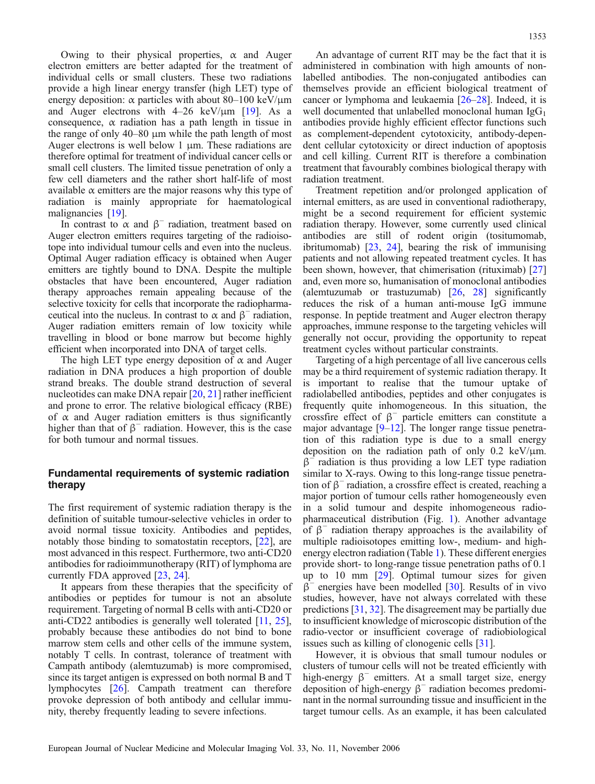Owing to their physical properties,  $\alpha$  and Auger electron emitters are better adapted for the treatment of individual cells or small clusters. These two radiations provide a high linear energy transfer (high LET) type of energy deposition:  $\alpha$  particles with about 80–100 keV/ $\mu$ m and Auger electrons with  $4-26 \text{ keV}/\mu\text{m}$  [\[19\]](#page-9-0). As a consequence,  $\alpha$  radiation has a path length in tissue in the range of only 40–80 μm while the path length of most Auger electrons is well below 1 μm. These radiations are therefore optimal for treatment of individual cancer cells or small cell clusters. The limited tissue penetration of only a few cell diameters and the rather short half-life of most available  $\alpha$  emitters are the major reasons why this type of radiation is mainly appropriate for haematological malignancies [[19](#page-9-0)].

In contrast to  $\alpha$  and  $\beta^-$  radiation, treatment based on Auger electron emitters requires targeting of the radioisotope into individual tumour cells and even into the nucleus. Optimal Auger radiation efficacy is obtained when Auger emitters are tightly bound to DNA. Despite the multiple obstacles that have been encountered, Auger radiation therapy approaches remain appealing because of the selective toxicity for cells that incorporate the radiopharmaceutical into the nucleus. In contrast to  $\alpha$  and  $\beta^-$  radiation, Auger radiation emitters remain of low toxicity while travelling in blood or bone marrow but become highly efficient when incorporated into DNA of target cells.

The high LET type energy deposition of  $\alpha$  and Auger radiation in DNA produces a high proportion of double strand breaks. The double strand destruction of several nucleotides can make DNA repair [[20](#page-9-0), [21](#page-9-0)] rather inefficient and prone to error. The relative biological efficacy (RBE) of  $\alpha$  and Auger radiation emitters is thus significantly higher than that of  $\beta^-$  radiation. However, this is the case for both tumour and normal tissues.

# Fundamental requirements of systemic radiation therapy

The first requirement of systemic radiation therapy is the definition of suitable tumour-selective vehicles in order to avoid normal tissue toxicity. Antibodies and peptides, notably those binding to somatostatin receptors, [\[22\]](#page-9-0), are most advanced in this respect. Furthermore, two anti-CD20 antibodies for radioimmunotherapy (RIT) of lymphoma are currently FDA approved [[23](#page-9-0), [24](#page-9-0)].

It appears from these therapies that the specificity of antibodies or peptides for tumour is not an absolute requirement. Targeting of normal B cells with anti-CD20 or anti-CD22 antibodies is generally well tolerated [\[11](#page-8-0), [25\]](#page-9-0), probably because these antibodies do not bind to bone marrow stem cells and other cells of the immune system, notably T cells. In contrast, tolerance of treatment with Campath antibody (alemtuzumab) is more compromised, since its target antigen is expressed on both normal B and T lymphocytes [\[26\]](#page-9-0). Campath treatment can therefore provoke depression of both antibody and cellular immunity, thereby frequently leading to severe infections.

An advantage of current RIT may be the fact that it is administered in combination with high amounts of nonlabelled antibodies. The non-conjugated antibodies can themselves provide an efficient biological treatment of cancer or lymphoma and leukaemia [\[26](#page-9-0)–[28](#page-9-0)]. Indeed, it is well documented that unlabelled monoclonal human  $I gG_1$ antibodies provide highly efficient effector functions such as complement-dependent cytotoxicity, antibody-dependent cellular cytotoxicity or direct induction of apoptosis and cell killing. Current RIT is therefore a combination treatment that favourably combines biological therapy with radiation treatment.

Treatment repetition and/or prolonged application of internal emitters, as are used in conventional radiotherapy, might be a second requirement for efficient systemic radiation therapy. However, some currently used clinical antibodies are still of rodent origin (tositumomab, ibritumomab) [[23](#page-9-0), [24\]](#page-9-0), bearing the risk of immunising patients and not allowing repeated treatment cycles. It has been shown, however, that chimerisation (rituximab) [\[27\]](#page-9-0) and, even more so, humanisation of monoclonal antibodies (alemtuzumab or trastuzumab)  $[26, 28]$  $[26, 28]$  $[26, 28]$  $[26, 28]$  significantly reduces the risk of a human anti-mouse IgG immune response. In peptide treatment and Auger electron therapy approaches, immune response to the targeting vehicles will generally not occur, providing the opportunity to repeat treatment cycles without particular constraints.

Targeting of a high percentage of all live cancerous cells may be a third requirement of systemic radiation therapy. It is important to realise that the tumour uptake of radiolabelled antibodies, peptides and other conjugates is frequently quite inhomogeneous. In this situation, the crossfire effect of  $\beta^-$  particle emitters can constitute a major advantage  $[9-12]$  $[9-12]$  $[9-12]$  $[9-12]$ . The longer range tissue penetration of this radiation type is due to a small energy deposition on the radiation path of only 0.2 keV/ $\mu$ m.  $\beta^-$  radiation is thus providing a low LET type radiation similar to X-rays. Owing to this long-range tissue penetration of  $\beta^-$  radiation, a crossfire effect is created, reaching a major portion of tumour cells rather homogeneously even in a solid tumour and despite inhomogeneous radiopharmaceutical distribution (Fig. [1\)](#page-2-0). Another advantage of  $\beta^-$  radiation therapy approaches is the availability of multiple radioisotopes emitting low-, medium- and highenergy electron radiation (Table [1\)](#page-2-0). These different energies provide short- to long-range tissue penetration paths of 0.1 up to 10 mm [\[29\]](#page-9-0). Optimal tumour sizes for given  $β$ <sup>-</sup> energies have been modelled [\[30\]](#page-9-0). Results of in vivo studies, however, have not always correlated with these predictions [[31](#page-9-0), [32](#page-9-0)]. The disagreement may be partially due to insufficient knowledge of microscopic distribution of the radio-vector or insufficient coverage of radiobiological issues such as killing of clonogenic cells [[31](#page-9-0)].

However, it is obvious that small tumour nodules or clusters of tumour cells will not be treated efficiently with high-energy  $\beta^-$  emitters. At a small target size, energy deposition of high-energy β<sup>−</sup> radiation becomes predominant in the normal surrounding tissue and insufficient in the target tumour cells. As an example, it has been calculated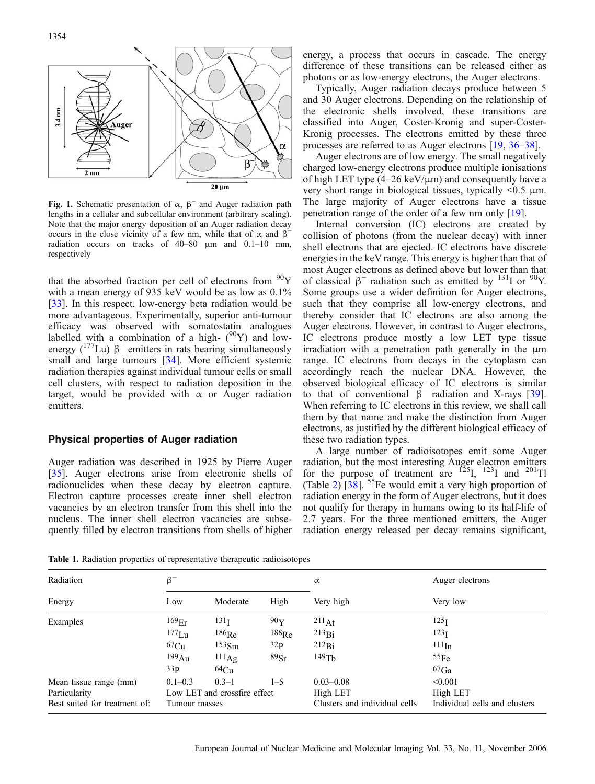<span id="page-2-0"></span>

Fig. 1. Schematic presentation of  $\alpha$ ,  $\beta^-$  and Auger radiation path lengths in a cellular and subcellular environment (arbitrary scaling). Note that the major energy deposition of an Auger radiation decay occurs in the close vicinity of a few nm, while that of  $\alpha$  and  $\beta^$ radiation occurs on tracks of 40–80 μm and 0.1–10 mm, respectively

that the absorbed fraction per cell of electrons from  $90Y$ with a mean energy of 935 keV would be as low as 0.1% [[33](#page-9-0)]. In this respect, low-energy beta radiation would be more advantageous. Experimentally, superior anti-tumour efficacy was observed with somatostatin analogues labelled with a combination of a high- $(^{90}Y)$  and lowenergy  $(^{177}$ Lu)  $\beta^-$  emitters in rats bearing simultaneously small and large tumours [[34](#page-9-0)]. More efficient systemic radiation therapies against individual tumour cells or small cell clusters, with respect to radiation deposition in the target, would be provided with  $\alpha$  or Auger radiation emitters.

# Physical properties of Auger radiation

Auger radiation was described in 1925 by Pierre Auger [[35](#page-9-0)]. Auger electrons arise from electronic shells of radionuclides when these decay by electron capture. Electron capture processes create inner shell electron vacancies by an electron transfer from this shell into the nucleus. The inner shell electron vacancies are subsequently filled by electron transitions from shells of higher

energy, a process that occurs in cascade. The energy difference of these transitions can be released either as photons or as low-energy electrons, the Auger electrons.

Typically, Auger radiation decays produce between 5 and 30 Auger electrons. Depending on the relationship of the electronic shells involved, these transitions are classified into Auger, Coster-Kronig and super-Coster-Kronig processes. The electrons emitted by these three processes are referred to as Auger electrons [\[19,](#page-9-0) [36](#page-9-0)–[38\]](#page-9-0).

Auger electrons are of low energy. The small negatively charged low-energy electrons produce multiple ionisations of high LET type  $(4-26 \text{ keV}/\mu\text{m})$  and consequently have a very short range in biological tissues, typically <0.5 μm. The large majority of Auger electrons have a tissue penetration range of the order of a few nm only [\[19\]](#page-9-0).

Internal conversion (IC) electrons are created by collision of photons (from the nuclear decay) with inner shell electrons that are ejected. IC electrons have discrete energies in the keV range. This energy is higher than that of most Auger electrons as defined above but lower than that of classical  $\beta^-$  radiation such as emitted by <sup>131</sup>I or <sup>90</sup>Y. Some groups use a wider definition for Auger electrons, such that they comprise all low-energy electrons, and thereby consider that IC electrons are also among the Auger electrons. However, in contrast to Auger electrons, IC electrons produce mostly a low LET type tissue irradiation with a penetration path generally in the μm range. IC electrons from decays in the cytoplasm can accordingly reach the nuclear DNA. However, the observed biological efficacy of IC electrons is similar to that of conventional  $\beta^-$  radiation and X-rays [[39](#page-9-0)]. When referring to IC electrons in this review, we shall call them by that name and make the distinction from Auger electrons, as justified by the different biological efficacy of these two radiation types.

A large number of radioisotopes emit some Auger radiation, but the most interesting Auger electron emitters for the purpose of treatment are  $^{125}I$ ,  $^{123}I$  and  $^{201}TI$ (Table [2](#page-3-0))  $\left[38\right]$ . <sup>55</sup>Fe would emit a very high proportion of radiation energy in the form of Auger electrons, but it does not qualify for therapy in humans owing to its half-life of 2.7 years. For the three mentioned emitters, the Auger radiation energy released per decay remains significant,

Table 1. Radiation properties of representative therapeutic radioisotopes

| Radiation                     | $\beta^-$                    |                   |                 | $\alpha$                      | Auger electrons               |  |
|-------------------------------|------------------------------|-------------------|-----------------|-------------------------------|-------------------------------|--|
| Energy                        | Low                          | Moderate          | High            | Very high                     | Very low                      |  |
| Examples                      | 169 <sub>Er</sub>            | 131 <sub>I</sub>  | 90 <sub>Y</sub> | 211At                         | 125 <sub>I</sub>              |  |
|                               | $177$ Lu                     | $186$ Re          | $188$ Re        | 213Bi                         | 123 <sub>I</sub>              |  |
|                               | 67Cu                         | 153 <sub>Sm</sub> | 32 <sub>P</sub> | 212Bi                         | 111 <sub>In</sub>             |  |
|                               | 199Au                        | $111_{\text{Ag}}$ | 89Sr            | $149$ Tb                      | 55Fe                          |  |
|                               | 33 <sub>P</sub>              | 64Cu              |                 |                               | $67$ Ga                       |  |
| Mean tissue range (mm)        | $0.1 - 0.3$                  | $0.3 - 1$         | $1 - 5$         | $0.03 - 0.08$                 | < 0.001                       |  |
| Particularity                 | Low LET and crossfire effect |                   |                 | High LET                      | High LET                      |  |
| Best suited for treatment of: | Tumour masses                |                   |                 | Clusters and individual cells | Individual cells and clusters |  |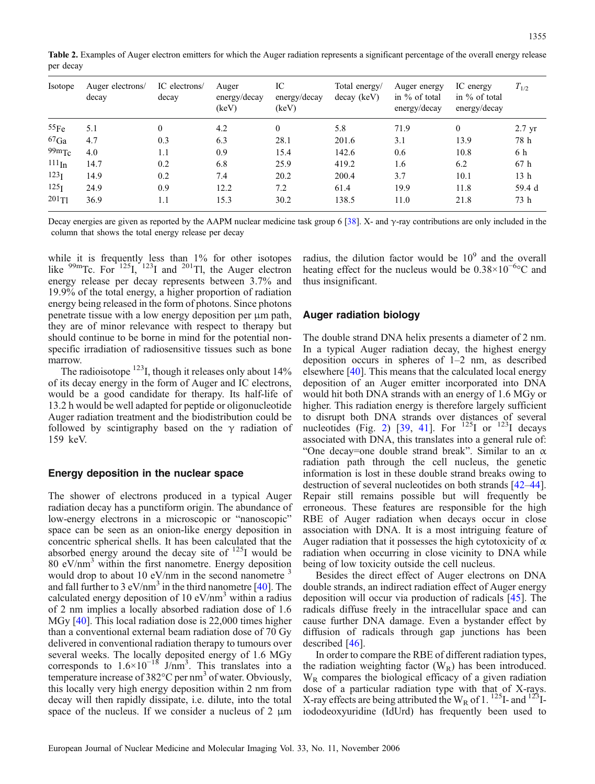<span id="page-3-0"></span>Table 2. Examples of Auger electron emitters for which the Auger radiation represents a significant percentage of the overall energy release per decay

| <i>Isotope</i>   | Auger electrons/<br>decay | IC electrons/<br>decay | Auger<br>energy/decay<br>(keV) | IC<br>energy/decay<br>(keV) | Total energy/<br>decay (keV) | Auger energy<br>in $\%$ of total<br>energy/decay | IC energy<br>in $\%$ of total<br>energy/decay | $T_{1/2}$        |
|------------------|---------------------------|------------------------|--------------------------------|-----------------------------|------------------------------|--------------------------------------------------|-----------------------------------------------|------------------|
| 55Fe             | 5.1                       | $\theta$               | 4.2                            | $\mathbf{0}$                | 5.8                          | 71.9                                             | $\mathbf{0}$                                  | $2.7 \text{ yr}$ |
| ${}^{67}Ga$      | 4.7                       | 0.3                    | 6.3                            | 28.1                        | 201.6                        | 3.1                                              | 13.9                                          | 78 h             |
| $99m$ Tc         | 4.0                       | 1.1                    | 0.9                            | 15.4                        | 142.6                        | 0.6                                              | 10.8                                          | 6 h              |
| $111\text{In}$   | 14.7                      | 0.2                    | 6.8                            | 25.9                        | 419.2                        | 1.6                                              | 6.2                                           | 67 h             |
| 123 <sub>I</sub> | 14.9                      | 0.2                    | 7.4                            | 20.2                        | 200.4                        | 3.7                                              | 10.1                                          | 13 <sub>h</sub>  |
| 125 <sub>I</sub> | 24.9                      | 0.9                    | 12.2                           | 7.2                         | 61.4                         | 19.9                                             | 11.8                                          | 59.4 d           |
| 201T1            | 36.9                      | 1.1                    | 15.3                           | 30.2                        | 138.5                        | 11.0                                             | 21.8                                          | 73 h             |

Decay energies are given as reported by the AAPM nuclear medicine task group 6 [[38\]](#page-9-0). X- and γ-ray contributions are only included in the column that shows the total energy release per decay

while it is frequently less than  $1\%$  for other isotopes like  $^{99m}$ Tc. For  $^{125}$ I,  $^{123}$ I and  $^{201}$ Tl, the Auger electron energy release per decay represents between 3.7% and 19.9% of the total energy, a higher proportion of radiation energy being released in the form of photons. Since photons penetrate tissue with a low energy deposition per μm path, they are of minor relevance with respect to therapy but should continue to be borne in mind for the potential nonspecific irradiation of radiosensitive tissues such as bone marrow.

The radioisotope  $^{123}$ I, though it releases only about 14% of its decay energy in the form of Auger and IC electrons, would be a good candidate for therapy. Its half-life of 13.2 h would be well adapted for peptide or oligonucleotide Auger radiation treatment and the biodistribution could be followed by scintigraphy based on the  $\gamma$  radiation of 159 keV.

## Energy deposition in the nuclear space

The shower of electrons produced in a typical Auger radiation decay has a punctiform origin. The abundance of low-energy electrons in a microscopic or "nanoscopic" space can be seen as an onion-like energy deposition in concentric spherical shells. It has been calculated that the absorbed energy around the decay site of  $^{125}$ I would be 80 eV/nm<sup>3</sup> within the first nanometre. Energy deposition would drop to about 10 eV/nm in the second nanometre  $\beta$ and fall further to 3  $eV/nm<sup>3</sup>$  in the third nanometre [\[40\]](#page-9-0). The calculated energy deposition of 10  $eV/nm<sup>3</sup>$  within a radius of 2 nm implies a locally absorbed radiation dose of 1.6 MGy [\[40\]](#page-9-0). This local radiation dose is 22,000 times higher than a conventional external beam radiation dose of 70 Gy delivered in conventional radiation therapy to tumours over several weeks. The locally deposited energy of 1.6 MGy corresponds to  $1.6 \times 10^{-18}$  J/nm<sup>3</sup>. This translates into a temperature increase of  $382^{\circ}$ C per nm<sup>3</sup> of water. Obviously, this locally very high energy deposition within 2 nm from decay will then rapidly dissipate, i.e. dilute, into the total space of the nucleus. If we consider a nucleus of  $2 \mu m$ 

radius, the dilution factor would be  $10<sup>9</sup>$  and the overall heating effect for the nucleus would be  $0.38 \times 10^{-6}$ °C and thus insignificant.

## Auger radiation biology

The double strand DNA helix presents a diameter of 2 nm. In a typical Auger radiation decay, the highest energy deposition occurs in spheres of 1–2 nm, as described elsewhere [\[40\]](#page-9-0). This means that the calculated local energy deposition of an Auger emitter incorporated into DNA would hit both DNA strands with an energy of 1.6 MGy or higher. This radiation energy is therefore largely sufficient to disrupt both DNA strands over distances of several nucleotides (Fig. [2](#page-4-0)) [\[39,](#page-9-0) [41\]](#page-9-0). For  $^{125}$ I or  $^{123}$ I decays associated with DNA, this translates into a general rule of: "One decay=one double strand break". Similar to an  $\alpha$ radiation path through the cell nucleus, the genetic information is lost in these double strand breaks owing to destruction of several nucleotides on both strands [[42](#page-9-0)–[44](#page-9-0)]. Repair still remains possible but will frequently be erroneous. These features are responsible for the high RBE of Auger radiation when decays occur in close association with DNA. It is a most intriguing feature of Auger radiation that it possesses the high cytotoxicity of  $\alpha$ radiation when occurring in close vicinity to DNA while being of low toxicity outside the cell nucleus.

Besides the direct effect of Auger electrons on DNA double strands, an indirect radiation effect of Auger energy deposition will occur via production of radicals [\[45\]](#page-9-0). The radicals diffuse freely in the intracellular space and can cause further DNA damage. Even a bystander effect by diffusion of radicals through gap junctions has been described [[46\]](#page-9-0).

In order to compare the RBE of different radiation types, the radiation weighting factor  $(W_R)$  has been introduced.  $W_R$  compares the biological efficacy of a given radiation dose of a particular radiation type with that of X-rays. X-ray effects are being attributed the  $W_R$  of 1. <sup>125</sup>I- and <sup>123</sup>Iiododeoxyuridine (IdUrd) has frequently been used to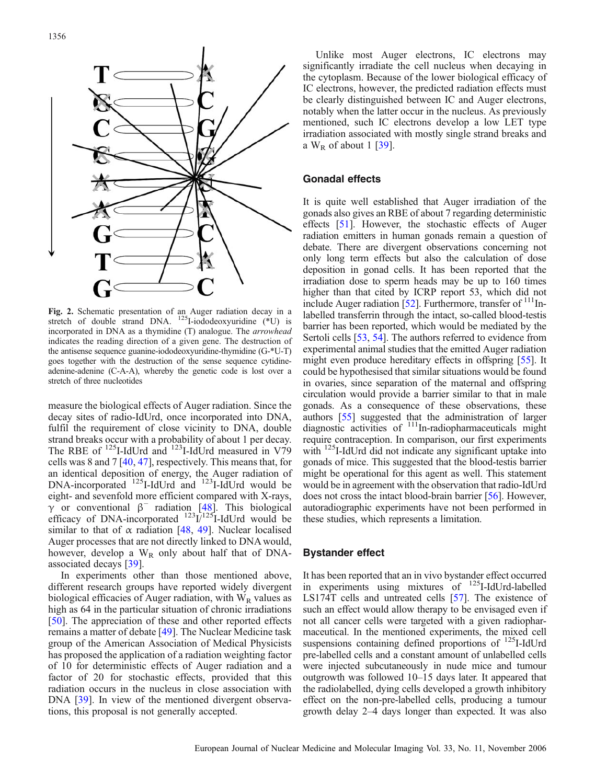<span id="page-4-0"></span>

Fig. 2. Schematic presentation of an Auger radiation decay in a stretch of double strand DNA. <sup>125</sup>I-iododeoxyuridine (\*U) is incorporated in DNA as a thymidine (T) analogue. The arrowhead indicates the reading direction of a given gene. The destruction of the antisense sequence guanine-iododeoxyuridine-thymidine (G-\*U-T) goes together with the destruction of the sense sequence cytidineadenine-adenine (C-A-A), whereby the genetic code is lost over a stretch of three nucleotides

measure the biological effects of Auger radiation. Since the decay sites of radio-IdUrd, once incorporated into DNA, fulfil the requirement of close vicinity to DNA, double strand breaks occur with a probability of about 1 per decay. The RBE of  $^{125}$ I-IdUrd and  $^{123}$ I-IdUrd measured in V79 cells was 8 and 7 [[40](#page-9-0), [47](#page-9-0)], respectively. This means that, for an identical deposition of energy, the Auger radiation of DNA-incorporated <sup>125</sup>I-IdUrd and <sup>123</sup>I-IdUrd would be eight- and sevenfold more efficient compared with X-rays,  $\gamma$  or conventional  $\beta^-$  radiation [\[48\]](#page-9-0). This biological efficacy of DNA-incorporated  $^{123}$ I/<sup>125</sup>I-IdUrd would be similar to that of  $\alpha$  radiation [[48](#page-9-0), [49](#page-9-0)]. Nuclear localised Auger processes that are not directly linked to DNA would, however, develop a  $W_R$  only about half that of DNAassociated decays [\[39\]](#page-9-0).

In experiments other than those mentioned above, different research groups have reported widely divergent biological efficacies of Auger radiation, with  $W_R$  values as high as 64 in the particular situation of chronic irradiations [[50](#page-9-0)]. The appreciation of these and other reported effects remains a matter of debate [[49](#page-9-0)]. The Nuclear Medicine task group of the American Association of Medical Physicists has proposed the application of a radiation weighting factor of 10 for deterministic effects of Auger radiation and a factor of 20 for stochastic effects, provided that this radiation occurs in the nucleus in close association with DNA [\[39\]](#page-9-0). In view of the mentioned divergent observations, this proposal is not generally accepted.

Unlike most Auger electrons, IC electrons may significantly irradiate the cell nucleus when decaying in the cytoplasm. Because of the lower biological efficacy of IC electrons, however, the predicted radiation effects must be clearly distinguished between IC and Auger electrons, notably when the latter occur in the nucleus. As previously mentioned, such IC electrons develop a low LET type irradiation associated with mostly single strand breaks and a  $W_R$  of about 1 [[39](#page-9-0)].

# Gonadal effects

It is quite well established that Auger irradiation of the gonads also gives an RBE of about 7 regarding deterministic effects [[51\]](#page-9-0). However, the stochastic effects of Auger radiation emitters in human gonads remain a question of debate. There are divergent observations concerning not only long term effects but also the calculation of dose deposition in gonad cells. It has been reported that the irradiation dose to sperm heads may be up to 160 times higher than that cited by ICRP report 53, which did not include Auger radiation  $[52]$  $[52]$ . Furthermore, transfer of  $\frac{111}{11}$ Inlabelled transferrin through the intact, so-called blood-testis barrier has been reported, which would be mediated by the Sertoli cells [\[53,](#page-9-0) [54](#page-10-0)]. The authors referred to evidence from experimental animal studies that the emitted Auger radiation might even produce hereditary effects in offspring [\[55](#page-10-0)]. It could be hypothesised that similar situations would be found in ovaries, since separation of the maternal and offspring circulation would provide a barrier similar to that in male gonads. As a consequence of these observations, these authors [\[55](#page-10-0)] suggested that the administration of larger diagnostic activities of  $111$ In-radiopharmaceuticals might require contraception. In comparison, our first experiments with <sup>125</sup>I-IdUrd did not indicate any significant uptake into gonads of mice. This suggested that the blood-testis barrier might be operational for this agent as well. This statement would be in agreement with the observation that radio-IdUrd does not cross the intact blood-brain barrier [\[56\]](#page-10-0). However, autoradiographic experiments have not been performed in these studies, which represents a limitation.

## Bystander effect

It has been reported that an in vivo bystander effect occurred in experiments using mixtures of 125I-IdUrd-labelled LS174T cells and untreated cells [[57](#page-10-0)]. The existence of such an effect would allow therapy to be envisaged even if not all cancer cells were targeted with a given radiopharmaceutical. In the mentioned experiments, the mixed cell suspensions containing defined proportions of <sup>125</sup>I-IdUrd pre-labelled cells and a constant amount of unlabelled cells were injected subcutaneously in nude mice and tumour outgrowth was followed 10–15 days later. It appeared that the radiolabelled, dying cells developed a growth inhibitory effect on the non-pre-labelled cells, producing a tumour growth delay 2–4 days longer than expected. It was also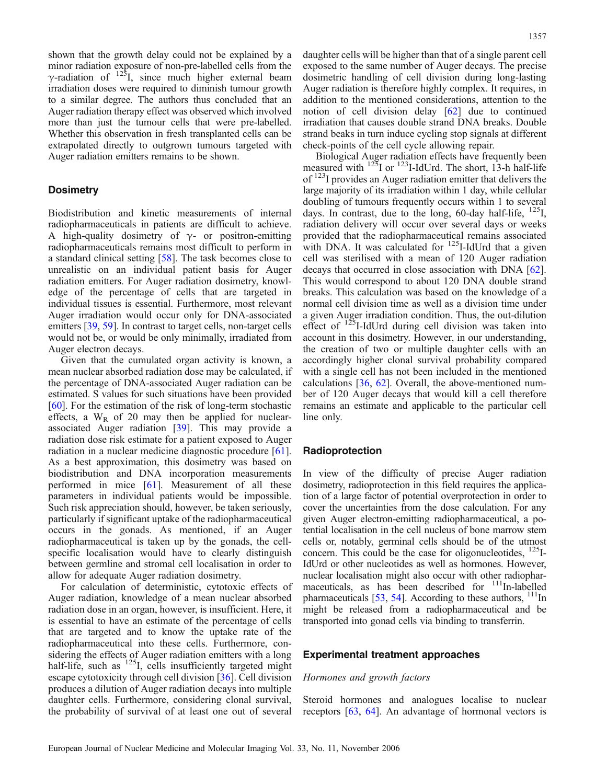shown that the growth delay could not be explained by a minor radiation exposure of non-pre-labelled cells from the γ-radiation of  $125$ I, since much higher external beam irradiation doses were required to diminish tumour growth to a similar degree. The authors thus concluded that an Auger radiation therapy effect was observed which involved more than just the tumour cells that were pre-labelled. Whether this observation in fresh transplanted cells can be extrapolated directly to outgrown tumours targeted with Auger radiation emitters remains to be shown.

## **Dosimetry**

Biodistribution and kinetic measurements of internal radiopharmaceuticals in patients are difficult to achieve. A high-quality dosimetry of  $\gamma$ - or positron-emitting radiopharmaceuticals remains most difficult to perform in a standard clinical setting [[58](#page-10-0)]. The task becomes close to unrealistic on an individual patient basis for Auger radiation emitters. For Auger radiation dosimetry, knowledge of the percentage of cells that are targeted in individual tissues is essential. Furthermore, most relevant Auger irradiation would occur only for DNA-associated emitters [\[39,](#page-9-0) [59](#page-10-0)]. In contrast to target cells, non-target cells would not be, or would be only minimally, irradiated from Auger electron decays.

Given that the cumulated organ activity is known, a mean nuclear absorbed radiation dose may be calculated, if the percentage of DNA-associated Auger radiation can be estimated. S values for such situations have been provided [[60](#page-10-0)]. For the estimation of the risk of long-term stochastic effects, a  $W_R$  of 20 may then be applied for nuclearassociated Auger radiation [[39\]](#page-9-0). This may provide a radiation dose risk estimate for a patient exposed to Auger radiation in a nuclear medicine diagnostic procedure [[61\]](#page-10-0). As a best approximation, this dosimetry was based on biodistribution and DNA incorporation measurements performed in mice [[61](#page-10-0)]. Measurement of all these parameters in individual patients would be impossible. Such risk appreciation should, however, be taken seriously, particularly if significant uptake of the radiopharmaceutical occurs in the gonads. As mentioned, if an Auger radiopharmaceutical is taken up by the gonads, the cellspecific localisation would have to clearly distinguish between germline and stromal cell localisation in order to allow for adequate Auger radiation dosimetry.

For calculation of deterministic, cytotoxic effects of Auger radiation, knowledge of a mean nuclear absorbed radiation dose in an organ, however, is insufficient. Here, it is essential to have an estimate of the percentage of cells that are targeted and to know the uptake rate of the radiopharmaceutical into these cells. Furthermore, considering the effects of Auger radiation emitters with a long half-life, such as  $^{125}$ I, cells insufficiently targeted might escape cytotoxicity through cell division [\[36\]](#page-9-0). Cell division produces a dilution of Auger radiation decays into multiple daughter cells. Furthermore, considering clonal survival, the probability of survival of at least one out of several

daughter cells will be higher than that of a single parent cell exposed to the same number of Auger decays. The precise dosimetric handling of cell division during long-lasting Auger radiation is therefore highly complex. It requires, in addition to the mentioned considerations, attention to the notion of cell division delay [[62](#page-10-0)] due to continued irradiation that causes double strand DNA breaks. Double strand beaks in turn induce cycling stop signals at different check-points of the cell cycle allowing repair.

Biological Auger radiation effects have frequently been measured with  $125$ I or  $123$ I-IdUrd. The short, 13-h half-life of <sup>123</sup>I provides an Auger radiation emitter that delivers the large majority of its irradiation within 1 day, while cellular doubling of tumours frequently occurs within 1 to several days. In contrast, due to the long, 60-day half-life,  $^{125}$ I, radiation delivery will occur over several days or weeks provided that the radiopharmaceutical remains associated with DNA. It was calculated for  $^{125}$ I-IdUrd that a given cell was sterilised with a mean of 120 Auger radiation decays that occurred in close association with DNA [[62](#page-10-0)]. This would correspond to about 120 DNA double strand breaks. This calculation was based on the knowledge of a normal cell division time as well as a division time under a given Auger irradiation condition. Thus, the out-dilution effect of  $^{125}$ I-IdUrd during cell division was taken into account in this dosimetry. However, in our understanding, the creation of two or multiple daughter cells with an accordingly higher clonal survival probability compared with a single cell has not been included in the mentioned calculations  $[36, 62]$  $[36, 62]$  $[36, 62]$  $[36, 62]$ . Overall, the above-mentioned number of 120 Auger decays that would kill a cell therefore remains an estimate and applicable to the particular cell line only.

#### Radioprotection

In view of the difficulty of precise Auger radiation dosimetry, radioprotection in this field requires the application of a large factor of potential overprotection in order to cover the uncertainties from the dose calculation. For any given Auger electron-emitting radiopharmaceutical, a potential localisation in the cell nucleus of bone marrow stem cells or, notably, germinal cells should be of the utmost concern. This could be the case for oligonucleotides,  $^{125}$ I-IdUrd or other nucleotides as well as hormones. However, nuclear localisation might also occur with other radiopharmaceuticals, as has been described for <sup>111</sup>In-labelled pharmaceuticals  $[53, 54]$  $[53, 54]$  $[53, 54]$ . According to these authors,  $111$ In might be released from a radiopharmaceutical and be transported into gonad cells via binding to transferrin.

#### Experimental treatment approaches

## Hormones and growth factors

Steroid hormones and analogues localise to nuclear receptors [[63](#page-10-0), [64](#page-10-0)]. An advantage of hormonal vectors is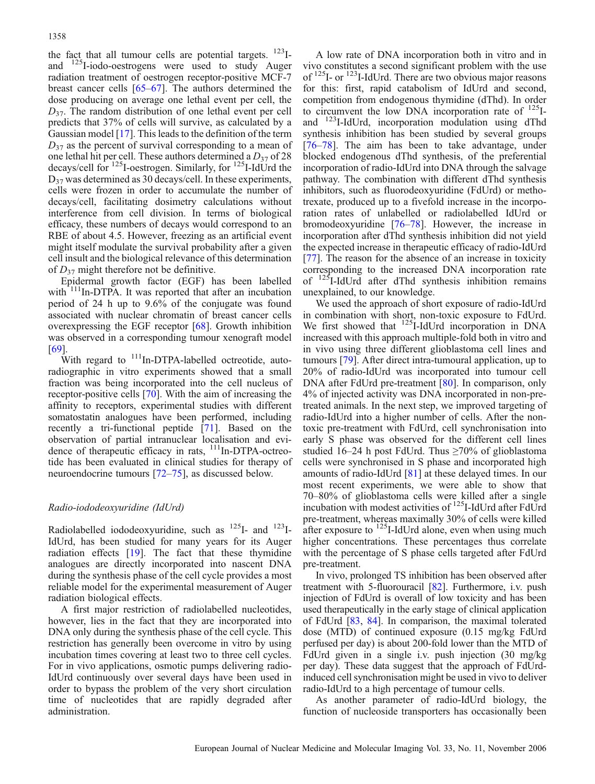the fact that all tumour cells are potential targets. <sup>123</sup>Iand 125I-iodo-oestrogens were used to study Auger radiation treatment of oestrogen receptor-positive MCF-7 breast cancer cells [[65](#page-10-0)–[67\]](#page-10-0). The authors determined the dose producing on average one lethal event per cell, the  $D_{37}$ . The random distribution of one lethal event per cell predicts that 37% of cells will survive, as calculated by a Gaussian model [\[17\]](#page-9-0). This leads to the definition of the term  $D_{37}$  as the percent of survival corresponding to a mean of one lethal hit per cell. These authors determined a  $D_{37}$  of 28 decays/cell for 125I-oestrogen. Similarly, for 125I-IdUrd the D37 was determined as 30 decays/cell. In these experiments, cells were frozen in order to accumulate the number of decays/cell, facilitating dosimetry calculations without interference from cell division. In terms of biological efficacy, these numbers of decays would correspond to an RBE of about 4.5. However, freezing as an artificial event might itself modulate the survival probability after a given cell insult and the biological relevance of this determination of  $D_{37}$  might therefore not be definitive.

Epidermal growth factor (EGF) has been labelled with <sup>111</sup>In-DTPA. It was reported that after an incubation period of 24 h up to 9.6% of the conjugate was found associated with nuclear chromatin of breast cancer cells overexpressing the EGF receptor [[68](#page-10-0)]. Growth inhibition was observed in a corresponding tumour xenograft model [[69](#page-10-0)].

With regard to <sup>111</sup>In-DTPA-labelled octreotide, autoradiographic in vitro experiments showed that a small fraction was being incorporated into the cell nucleus of receptor-positive cells [\[70](#page-10-0)]. With the aim of increasing the affinity to receptors, experimental studies with different somatostatin analogues have been performed, including recently a tri-functional peptide [\[71\]](#page-10-0). Based on the observation of partial intranuclear localisation and evidence of therapeutic efficacy in rats, <sup>111</sup>In-DTPA-octreotide has been evaluated in clinical studies for therapy of neuroendocrine tumours [\[72](#page-10-0)–[75](#page-10-0)], as discussed below.

# Radio-iododeoxyuridine (IdUrd)

Radiolabelled iododeoxyuridine, such as  $^{125}$ I- and  $^{123}$ I-IdUrd, has been studied for many years for its Auger radiation effects [[19](#page-9-0)]. The fact that these thymidine analogues are directly incorporated into nascent DNA during the synthesis phase of the cell cycle provides a most reliable model for the experimental measurement of Auger radiation biological effects.

A first major restriction of radiolabelled nucleotides, however, lies in the fact that they are incorporated into DNA only during the synthesis phase of the cell cycle. This restriction has generally been overcome in vitro by using incubation times covering at least two to three cell cycles. For in vivo applications, osmotic pumps delivering radio-IdUrd continuously over several days have been used in order to bypass the problem of the very short circulation time of nucleotides that are rapidly degraded after administration.

A low rate of DNA incorporation both in vitro and in vivo constitutes a second significant problem with the use of <sup>125</sup>I- or <sup>123</sup>I-IdUrd. There are two obvious major reasons for this: first, rapid catabolism of IdUrd and second, competition from endogenous thymidine (dThd). In order to circumvent the low DNA incorporation rate of  $^{125}$ Iand 123I-IdUrd, incorporation modulation using dThd synthesis inhibition has been studied by several groups [[76](#page-10-0)–[78\]](#page-10-0). The aim has been to take advantage, under blocked endogenous dThd synthesis, of the preferential incorporation of radio-IdUrd into DNA through the salvage pathway. The combination with different dThd synthesis inhibitors, such as fluorodeoxyuridine (FdUrd) or methotrexate, produced up to a fivefold increase in the incorporation rates of unlabelled or radiolabelled IdUrd or bromodeoxyuridine [[76](#page-10-0)–[78](#page-10-0)]. However, the increase in incorporation after dThd synthesis inhibition did not yield the expected increase in therapeutic efficacy of radio-IdUrd [[77](#page-10-0)]. The reason for the absence of an increase in toxicity corresponding to the increased DNA incorporation rate of 125I-IdUrd after dThd synthesis inhibition remains unexplained, to our knowledge.

We used the approach of short exposure of radio-IdUrd in combination with short, non-toxic exposure to FdUrd. We first showed that  $^{125}$ I-IdUrd incorporation in DNA increased with this approach multiple-fold both in vitro and in vivo using three different glioblastoma cell lines and tumours [\[79\]](#page-10-0). After direct intra-tumoural application, up to 20% of radio-IdUrd was incorporated into tumour cell DNA after FdUrd pre-treatment [\[80\]](#page-10-0). In comparison, only 4% of injected activity was DNA incorporated in non-pretreated animals. In the next step, we improved targeting of radio-IdUrd into a higher number of cells. After the nontoxic pre-treatment with FdUrd, cell synchronisation into early S phase was observed for the different cell lines studied 16–24 h post FdUrd. Thus  $\geq$ 70% of glioblastoma cells were synchronised in S phase and incorporated high amounts of radio-IdUrd [\[81\]](#page-10-0) at these delayed times. In our most recent experiments, we were able to show that 70–80% of glioblastoma cells were killed after a single incubation with modest activities of  $^{125}$ I-IdUrd after FdUrd pre-treatment, whereas maximally 30% of cells were killed after exposure to  $^{125}$ I-IdUrd alone, even when using much higher concentrations. These percentages thus correlate with the percentage of S phase cells targeted after FdUrd pre-treatment.

In vivo, prolonged TS inhibition has been observed after treatment with 5-fluorouracil [\[82\]](#page-10-0). Furthermore, i.v. push injection of FdUrd is overall of low toxicity and has been used therapeutically in the early stage of clinical application of FdUrd [\[83,](#page-10-0) [84\]](#page-10-0). In comparison, the maximal tolerated dose (MTD) of continued exposure (0.15 mg/kg FdUrd perfused per day) is about 200-fold lower than the MTD of FdUrd given in a single i.v. push injection (30 mg/kg per day). These data suggest that the approach of FdUrdinduced cell synchronisation might be used in vivo to deliver radio-IdUrd to a high percentage of tumour cells.

As another parameter of radio-IdUrd biology, the function of nucleoside transporters has occasionally been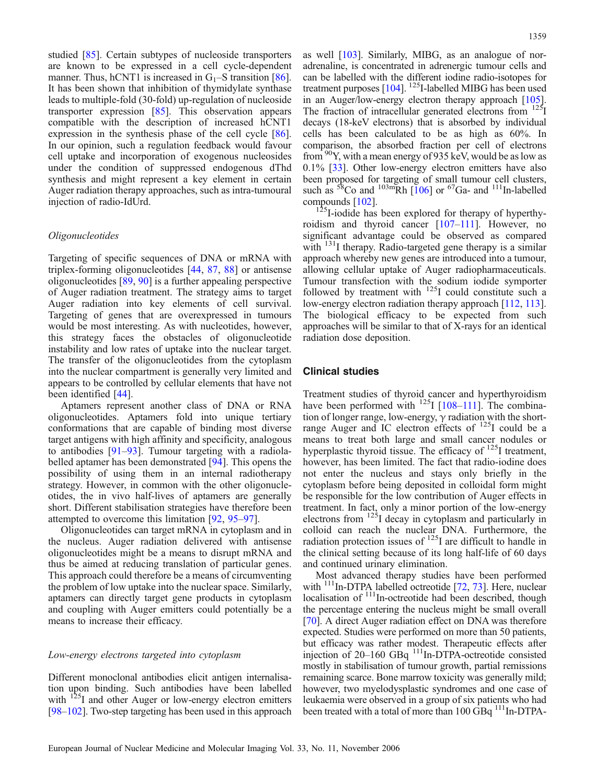studied [[85](#page-10-0)]. Certain subtypes of nucleoside transporters are known to be expressed in a cell cycle-dependent manner. Thus, hCNT1 is increased in  $G_1$ –S transition [[86\]](#page-10-0). It has been shown that inhibition of thymidylate synthase leads to multiple-fold (30-fold) up-regulation of nucleoside transporter expression [\[85\]](#page-10-0). This observation appears compatible with the description of increased hCNT1 expression in the synthesis phase of the cell cycle [[86\]](#page-10-0). In our opinion, such a regulation feedback would favour cell uptake and incorporation of exogenous nucleosides under the condition of suppressed endogenous dThd synthesis and might represent a key element in certain Auger radiation therapy approaches, such as intra-tumoural injection of radio-IdUrd.

## Oligonucleotides

Targeting of specific sequences of DNA or mRNA with triplex-forming oligonucleotides [[44](#page-9-0), [87](#page-11-0), [88\]](#page-11-0) or antisense oligonucleotides [[89](#page-11-0), [90\]](#page-11-0) is a further appealing perspective of Auger radiation treatment. The strategy aims to target Auger radiation into key elements of cell survival. Targeting of genes that are overexpressed in tumours would be most interesting. As with nucleotides, however, this strategy faces the obstacles of oligonucleotide instability and low rates of uptake into the nuclear target. The transfer of the oligonucleotides from the cytoplasm into the nuclear compartment is generally very limited and appears to be controlled by cellular elements that have not been identified [[44](#page-9-0)].

Aptamers represent another class of DNA or RNA oligonucleotides. Aptamers fold into unique tertiary conformations that are capable of binding most diverse target antigens with high affinity and specificity, analogous to antibodies [[91](#page-11-0)–[93\]](#page-11-0). Tumour targeting with a radiolabelled aptamer has been demonstrated [\[94\]](#page-11-0). This opens the possibility of using them in an internal radiotherapy strategy. However, in common with the other oligonucleotides, the in vivo half-lives of aptamers are generally short. Different stabilisation strategies have therefore been attempted to overcome this limitation [[92](#page-11-0), [95](#page-11-0)–[97](#page-11-0)].

Oligonucleotides can target mRNA in cytoplasm and in the nucleus. Auger radiation delivered with antisense oligonucleotides might be a means to disrupt mRNA and thus be aimed at reducing translation of particular genes. This approach could therefore be a means of circumventing the problem of low uptake into the nuclear space. Similarly, aptamers can directly target gene products in cytoplasm and coupling with Auger emitters could potentially be a means to increase their efficacy.

## Low-energy electrons targeted into cytoplasm

Different monoclonal antibodies elicit antigen internalisation upon binding. Such antibodies have been labelled with  $^{125}$ I and other Auger or low-energy electron emitters [\[98](#page-11-0)–[102](#page-11-0)]. Two-step targeting has been used in this approach

as well [\[103\]](#page-11-0). Similarly, MIBG, as an analogue of noradrenaline, is concentrated in adrenergic tumour cells and can be labelled with the different iodine radio-isotopes for treatment purposes [[104](#page-11-0)]. <sup>125</sup>I-labelled MIBG has been used in an Auger/low-energy electron therapy approach [[105](#page-11-0)]. The fraction of intracellular generated electrons from <sup>125</sup>I decays (18-keV electrons) that is absorbed by individual cells has been calculated to be as high as 60%. In comparison, the absorbed fraction per cell of electrons from  $90Y$ , with a mean energy of 935 keV, would be as low as 0.1% [[33\]](#page-9-0). Other low-energy electron emitters have also been proposed for targeting of small tumour cell clusters, such as  ${}^{58}$ Co and  ${}^{103}$ mRh [\[106\]](#page-11-0) or  ${}^{67}$ Ga- and  ${}^{111}$ In-labelled compounds [102].

 $^{125}$ I-iodide has been explored for therapy of hyperthyroidism and thyroid cancer [[107](#page-11-0)–[111\]](#page-11-0). However, no significant advantage could be observed as compared with  $131$ <sup>I</sup> therapy. Radio-targeted gene therapy is a similar approach whereby new genes are introduced into a tumour, allowing cellular uptake of Auger radiopharmaceuticals. Tumour transfection with the sodium iodide symporter followed by treatment with  $125$ I could constitute such a low-energy electron radiation therapy approach [\[112,](#page-11-0) [113](#page-11-0)]. The biological efficacy to be expected from such approaches will be similar to that of X-rays for an identical radiation dose deposition.

#### Clinical studies

Treatment studies of thyroid cancer and hyperthyroidism have been performed with  $^{125}$ I [\[108](#page-11-0)–[111](#page-11-0)]. The combination of longer range, low-energy,  $\gamma$  radiation with the shortrange Auger and IC electron effects of <sup>125</sup>I could be a means to treat both large and small cancer nodules or hyperplastic thyroid tissue. The efficacy of  $125$ I treatment, however, has been limited. The fact that radio-iodine does not enter the nucleus and stays only briefly in the cytoplasm before being deposited in colloidal form might be responsible for the low contribution of Auger effects in treatment. In fact, only a minor portion of the low-energy electrons from  $125$ <sup>I</sup> decay in cytoplasm and particularly in colloid can reach the nuclear DNA. Furthermore, the radiation protection issues of  $^{125}I$  are difficult to handle in the clinical setting because of its long half-life of 60 days and continued urinary elimination.

Most advanced therapy studies have been performed with <sup>111</sup>In-DTPA labelled octreotide [\[72,](#page-10-0) [73](#page-10-0)]. Here, nuclear localisation of <sup>111</sup>In-octreotide had been described, though the percentage entering the nucleus might be small overall [[70\]](#page-10-0). A direct Auger radiation effect on DNA was therefore expected. Studies were performed on more than 50 patients, but efficacy was rather modest. Therapeutic effects after injection of 20–160 GBq 111In-DTPA-octreotide consisted mostly in stabilisation of tumour growth, partial remissions remaining scarce. Bone marrow toxicity was generally mild; however, two myelodysplastic syndromes and one case of leukaemia were observed in a group of six patients who had been treated with a total of more than 100 GBq <sup>111</sup>In-DTPA-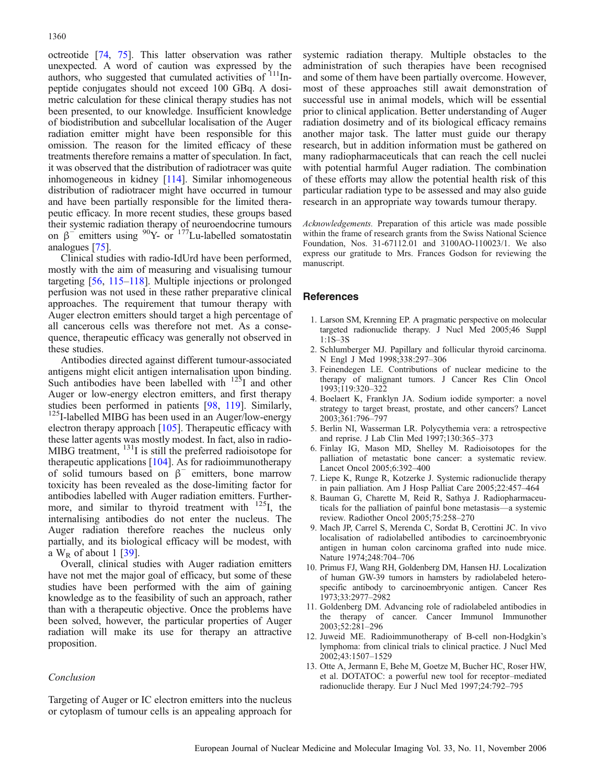<span id="page-8-0"></span>octreotide [\[74,](#page-10-0) [75](#page-10-0)]. This latter observation was rather unexpected. A word of caution was expressed by the authors, who suggested that cumulated activities of <sup>111</sup>Inpeptide conjugates should not exceed 100 GBq. A dosimetric calculation for these clinical therapy studies has not been presented, to our knowledge. Insufficient knowledge of biodistribution and subcellular localisation of the Auger radiation emitter might have been responsible for this omission. The reason for the limited efficacy of these treatments therefore remains a matter of speculation. In fact, it was observed that the distribution of radiotracer was quite inhomogeneous in kidney [[114\]](#page-11-0). Similar inhomogeneous distribution of radiotracer might have occurred in tumour and have been partially responsible for the limited therapeutic efficacy. In more recent studies, these groups based their systemic radiation therapy of neuroendocrine tumours on  $β$ <sup>-</sup> emitters using <sup>90</sup>Y- or <sup>177</sup>Lu-labelled somatostatin analogues [\[75\]](#page-10-0).

Clinical studies with radio-IdUrd have been performed, mostly with the aim of measuring and visualising tumour targeting [[56](#page-10-0), [115](#page-11-0)–[118\]](#page-11-0). Multiple injections or prolonged perfusion was not used in these rather preparative clinical approaches. The requirement that tumour therapy with Auger electron emitters should target a high percentage of all cancerous cells was therefore not met. As a consequence, therapeutic efficacy was generally not observed in these studies.

Antibodies directed against different tumour-associated antigens might elicit antigen internalisation upon binding. Such antibodies have been labelled with <sup>125</sup>I and other Auger or low-energy electron emitters, and first therapy studies been performed in patients  $[98, 119]$  $[98, 119]$  $[98, 119]$ . Similarly,  $125$ <sub>I-labelled MIBG</sub> has been used in an Auger/low-energy electron therapy approach [[105](#page-11-0)]. Therapeutic efficacy with these latter agents was mostly modest. In fact, also in radio-MIBG treatment, <sup>131</sup>I is still the preferred radioisotope for therapeutic applications [\[104](#page-11-0)]. As for radioimmunotherapy of solid tumours based on  $\beta^-$  emitters, bone marrow toxicity has been revealed as the dose-limiting factor for antibodies labelled with Auger radiation emitters. Furthermore, and similar to thyroid treatment with <sup>125</sup>I, the internalising antibodies do not enter the nucleus. The Auger radiation therefore reaches the nucleus only partially, and its biological efficacy will be modest, with a  $W_R$  of about 1 [[39](#page-9-0)].

Overall, clinical studies with Auger radiation emitters have not met the major goal of efficacy, but some of these studies have been performed with the aim of gaining knowledge as to the feasibility of such an approach, rather than with a therapeutic objective. Once the problems have been solved, however, the particular properties of Auger radiation will make its use for therapy an attractive proposition.

# Conclusion

Targeting of Auger or IC electron emitters into the nucleus or cytoplasm of tumour cells is an appealing approach for

systemic radiation therapy. Multiple obstacles to the administration of such therapies have been recognised and some of them have been partially overcome. However, most of these approaches still await demonstration of successful use in animal models, which will be essential prior to clinical application. Better understanding of Auger radiation dosimetry and of its biological efficacy remains another major task. The latter must guide our therapy research, but in addition information must be gathered on many radiopharmaceuticals that can reach the cell nuclei with potential harmful Auger radiation. The combination of these efforts may allow the potential health risk of this particular radiation type to be assessed and may also guide research in an appropriate way towards tumour therapy.

Acknowledgements. Preparation of this article was made possible within the frame of research grants from the Swiss National Science Foundation, Nos. 31-67112.01 and 3100AO-110023/1. We also express our gratitude to Mrs. Frances Godson for reviewing the manuscript.

#### References

- 1. Larson SM, Krenning EP. A pragmatic perspective on molecular targeted radionuclide therapy. J Nucl Med 2005;46 Suppl 1:1S–3S
- 2. Schlumberger MJ. Papillary and follicular thyroid carcinoma. N Engl J Med 1998;338:297–306
- 3. Feinendegen LE. Contributions of nuclear medicine to the therapy of malignant tumors. J Cancer Res Clin Oncol 1993;119:320–322
- 4. Boelaert K, Franklyn JA. Sodium iodide symporter: a novel strategy to target breast, prostate, and other cancers? Lancet 2003;361:796–797
- 5. Berlin NI, Wasserman LR. Polycythemia vera: a retrospective and reprise. J Lab Clin Med 1997;130:365–373
- 6. Finlay IG, Mason MD, Shelley M. Radioisotopes for the palliation of metastatic bone cancer: a systematic review. Lancet Oncol 2005;6:392–400
- 7. Liepe K, Runge R, Kotzerke J. Systemic radionuclide therapy in pain palliation. Am J Hosp Palliat Care 2005;22:457–464
- 8. Bauman G, Charette M, Reid R, Sathya J. Radiopharmaceuticals for the palliation of painful bone metastasis—a systemic review. Radiother Oncol 2005;75:258–270
- 9. Mach JP, Carrel S, Merenda C, Sordat B, Cerottini JC. In vivo localisation of radiolabelled antibodies to carcinoembryonic antigen in human colon carcinoma grafted into nude mice. Nature 1974;248:704–706
- 10. Primus FJ, Wang RH, Goldenberg DM, Hansen HJ. Localization of human GW-39 tumors in hamsters by radiolabeled heterospecific antibody to carcinoembryonic antigen. Cancer Res 1973;33:2977–2982
- 11. Goldenberg DM. Advancing role of radiolabeled antibodies in the therapy of cancer. Cancer Immunol Immunother 2003;52:281–296
- 12. Juweid ME. Radioimmunotherapy of B-cell non-Hodgkin's lymphoma: from clinical trials to clinical practice. J Nucl Med 2002;43:1507–1529
- 13. Otte A, Jermann E, Behe M, Goetze M, Bucher HC, Roser HW, et al. DOTATOC: a powerful new tool for receptor–mediated radionuclide therapy. Eur J Nucl Med 1997;24:792–795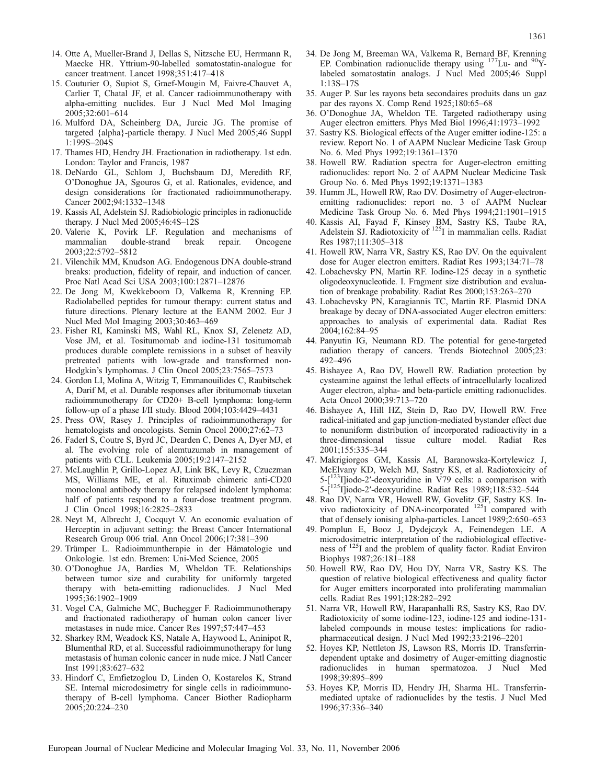- <span id="page-9-0"></span>14. Otte A, Mueller-Brand J, Dellas S, Nitzsche EU, Herrmann R, Maecke HR. Yttrium-90-labelled somatostatin-analogue for cancer treatment. Lancet 1998;351:417–418
- 15. Couturier O, Supiot S, Graef-Mougin M, Faivre-Chauvet A, Carlier T, Chatal JF, et al. Cancer radioimmunotherapy with alpha-emitting nuclides. Eur J Nucl Med Mol Imaging 2005;32:601–614
- 16. Mulford DA, Scheinberg DA, Jurcic JG. The promise of targeted {alpha}-particle therapy. J Nucl Med 2005;46 Suppl 1:199S–204S
- 17. Thames HD, Hendry JH. Fractionation in radiotherapy. 1st edn. London: Taylor and Francis, 1987
- 18. DeNardo GL, Schlom J, Buchsbaum DJ, Meredith RF, O'Donoghue JA, Sgouros G, et al. Rationales, evidence, and design considerations for fractionated radioimmunotherapy. Cancer 2002;94:1332–1348
- 19. Kassis AI, Adelstein SJ. Radiobiologic principles in radionuclide therapy. J Nucl Med 2005;46:4S–12S
- 20. Valerie K, Povirk LF. Regulation and mechanisms of mammalian double-strand break repair. Oncogene 2003;22:5792–5812
- 21. Vilenchik MM, Knudson AG. Endogenous DNA double-strand breaks: production, fidelity of repair, and induction of cancer. Proc Natl Acad Sci USA 2003;100:12871–12876
- 22. De Jong M, Kwekkeboom D, Valkema R, Krenning EP. Radiolabelled peptides for tumour therapy: current status and future directions. Plenary lecture at the EANM 2002. Eur J Nucl Med Mol Imaging 2003;30:463–469
- 23. Fisher RI, Kaminski MS, Wahl RL, Knox SJ, Zelenetz AD, Vose JM, et al. Tositumomab and iodine-131 tositumomab produces durable complete remissions in a subset of heavily pretreated patients with low-grade and transformed non-Hodgkin's lymphomas. J Clin Oncol 2005;23:7565–7573
- 24. Gordon LI, Molina A, Witzig T, Emmanouilides C, Raubitschek A, Darif M, et al. Durable responses after ibritumomab tiuxetan radioimmunotherapy for CD20+ B-cell lymphoma: long-term follow-up of a phase I/II study. Blood 2004;103:4429–4431
- 25. Press OW, Rasey J. Principles of radioimmunotherapy for hematologists and oncologists. Semin Oncol 2000;27:62-73
- 26. Faderl S, Coutre S, Byrd JC, Dearden C, Denes A, Dyer MJ, et al. The evolving role of alemtuzumab in management of patients with CLL. Leukemia 2005;19:2147–2152
- 27. McLaughlin P, Grillo-Lopez AJ, Link BK, Levy R, Czuczman MS, Williams ME, et al. Rituximab chimeric anti-CD20 monoclonal antibody therapy for relapsed indolent lymphoma: half of patients respond to a four-dose treatment program. J Clin Oncol 1998;16:2825–2833
- 28. Neyt M, Albrecht J, Cocquyt V. An economic evaluation of Herceptin in adjuvant setting: the Breast Cancer International Research Group 006 trial. Ann Oncol 2006;17:381–390
- 29. Trümper L. Radioimmuntherapie in der Hämatologie und Onkologie. 1st edn. Bremen: Uni-Med Science, 2005
- 30. O'Donoghue JA, Bardies M, Wheldon TE. Relationships between tumor size and curability for uniformly targeted therapy with beta-emitting radionuclides. J Nucl Med 1995;36:1902–1909
- 31. Vogel CA, Galmiche MC, Buchegger F. Radioimmunotherapy and fractionated radiotherapy of human colon cancer liver metastases in nude mice. Cancer Res 1997;57:447–453
- 32. Sharkey RM, Weadock KS, Natale A, Haywood L, Aninipot R, Blumenthal RD, et al. Successful radioimmunotherapy for lung metastasis of human colonic cancer in nude mice. J Natl Cancer Inst 1991;83:627–632
- 33. Hindorf C, Emfietzoglou D, Linden O, Kostarelos K, Strand SE. Internal microdosimetry for single cells in radioimmunotherapy of B-cell lymphoma. Cancer Biother Radiopharm 2005;20:224–230
- 34. De Jong M, Breeman WA, Valkema R, Bernard BF, Krenning EP. Combination radionuclide therapy using  $177$ Lu- and  $90$ Ylabeled somatostatin analogs. J Nucl Med 2005;46 Suppl 1:13S–17S
- 35. Auger P. Sur les rayons beta secondaires produits dans un gaz par des rayons X. Comp Rend 1925;180:65–68
- 36. O'Donoghue JA, Wheldon TE. Targeted radiotherapy using Auger electron emitters. Phys Med Biol 1996;41:1973–1992
- 37. Sastry KS. Biological effects of the Auger emitter iodine-125: a review. Report No. 1 of AAPM Nuclear Medicine Task Group No. 6. Med Phys 1992;19:1361–1370
- 38. Howell RW. Radiation spectra for Auger-electron emitting radionuclides: report No. 2 of AAPM Nuclear Medicine Task Group No. 6. Med Phys 1992;19:1371–1383
- 39. Humm JL, Howell RW, Rao DV. Dosimetry of Auger-electronemitting radionuclides: report no. 3 of AAPM Nuclear Medicine Task Group No. 6. Med Phys 1994;21:1901–1915
- 40. Kassis AI, Fayad F, Kinsey BM, Sastry KS, Taube RA, Adelstein SJ. Radiotoxicity of  $125I$  in mammalian cells. Radiat Res 1987;111:305–318
- 41. Howell RW, Narra VR, Sastry KS, Rao DV. On the equivalent dose for Auger electron emitters. Radiat Res 1993;134:71–78
- 42. Lobachevsky PN, Martin RF. Iodine-125 decay in a synthetic oligodeoxynucleotide. I. Fragment size distribution and evaluation of breakage probability. Radiat Res 2000;153:263–270
- 43. Lobachevsky PN, Karagiannis TC, Martin RF. Plasmid DNA breakage by decay of DNA-associated Auger electron emitters: approaches to analysis of experimental data. Radiat Res 2004;162:84–95
- 44. Panyutin IG, Neumann RD. The potential for gene-targeted radiation therapy of cancers. Trends Biotechnol 2005;23: 492–496
- 45. Bishayee A, Rao DV, Howell RW. Radiation protection by cysteamine against the lethal effects of intracellularly localized Auger electron, alpha- and beta-particle emitting radionuclides. Acta Oncol 2000;39:713–720
- 46. Bishayee A, Hill HZ, Stein D, Rao DV, Howell RW. Free radical-initiated and gap junction-mediated bystander effect due to nonuniform distribution of incorporated radioactivity in a three-dimensional tissue culture model. Radiat Res 2001;155:335–344
- 47. Makrigiorgos GM, Kassis AI, Baranowska-Kortylewicz J, McElvany KD, Welch MJ, Sastry KS, et al. Radiotoxicity of 5-[123I]iodo-2′-deoxyuridine in V79 cells: a comparison with  $5-[1^{125}I]iodo-2'-deoxyuridine. Radiat Res 1989;118:532-544$
- 48. Rao DV, Narra VR, Howell RW, Govelitz GF, Sastry KS. Invivo radiotoxicity of DNA-incorporated  $^{125}$ I compared with that of densely ionising alpha-particles. Lancet 1989;2:650–653
- 49. Pomplun E, Booz J, Dydejczyk A, Feinendegen LE. A microdosimetric interpretation of the radiobiological effectiveness of 125I and the problem of quality factor. Radiat Environ Biophys 1987;26:181–188
- 50. Howell RW, Rao DV, Hou DY, Narra VR, Sastry KS. The question of relative biological effectiveness and quality factor for Auger emitters incorporated into proliferating mammalian cells. Radiat Res 1991;128:282–292
- 51. Narra VR, Howell RW, Harapanhalli RS, Sastry KS, Rao DV. Radiotoxicity of some iodine-123, iodine-125 and iodine-131 labeled compounds in mouse testes: implications for radiopharmaceutical design. J Nucl Med 1992;33:2196–2201
- 52. Hoyes KP, Nettleton JS, Lawson RS, Morris ID. Transferrindependent uptake and dosimetry of Auger-emitting diagnostic radionuclides in human spermatozoa. J Nucl Med 1998;39:895–899
- 53. Hoyes KP, Morris ID, Hendry JH, Sharma HL. Transferrinmediated uptake of radionuclides by the testis. J Nucl Med 1996;37:336–340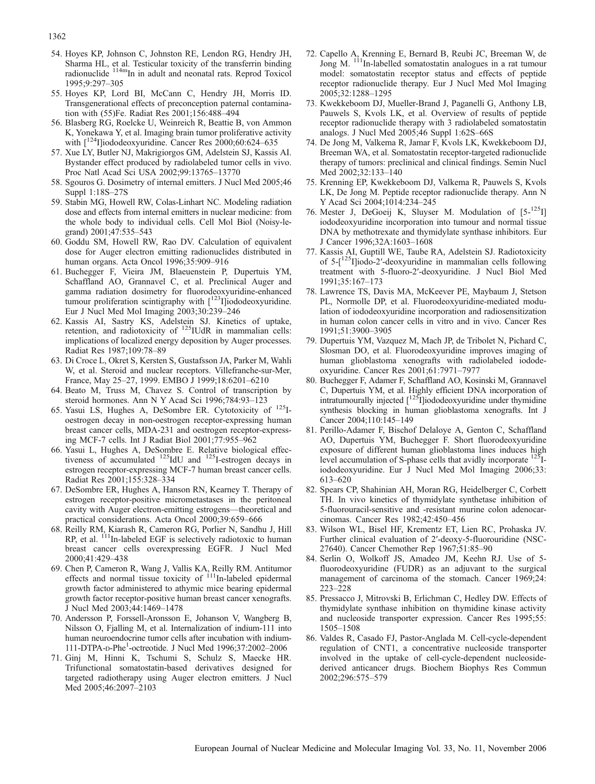- <span id="page-10-0"></span>54. Hoyes KP, Johnson C, Johnston RE, Lendon RG, Hendry JH, Sharma HL, et al. Testicular toxicity of the transferrin binding radionuclide <sup>114m</sup>In in adult and neonatal rats. Reprod Toxicol 1995;9:297–305
- 55. Hoyes KP, Lord BI, McCann C, Hendry JH, Morris ID. Transgenerational effects of preconception paternal contamination with (55)Fe. Radiat Res 2001;156:488–494
- 56. Blasberg RG, Roelcke U, Weinreich R, Beattie B, von Ammon K, Yonekawa Y, et al. Imaging brain tumor proliferative activity with  $[{}^{124}$ I]iododeoxyuridine. Cancer Res 2000;60:624-635
- 57. Xue LY, Butler NJ, Makrigiorgos GM, Adelstein SJ, Kassis AI. Bystander effect produced by radiolabeled tumor cells in vivo. Proc Natl Acad Sci USA 2002;99:13765–13770
- 58. Sgouros G. Dosimetry of internal emitters. J Nucl Med 2005;46 Suppl 1:18S–27S
- 59. Stabin MG, Howell RW, Colas-Linhart NC. Modeling radiation dose and effects from internal emitters in nuclear medicine: from the whole body to individual cells. Cell Mol Biol (Noisy-legrand) 2001;47:535–543
- 60. Goddu SM, Howell RW, Rao DV. Calculation of equivalent dose for Auger electron emitting radionuclides distributed in human organs. Acta Oncol 1996;35:909–916
- 61. Buchegger F, Vieira JM, Blaeuenstein P, Dupertuis YM, Schaffland AO, Grannavel C, et al. Preclinical Auger and gamma radiation dosimetry for fluorodeoxyuridine-enhanced tumour proliferation scintigraphy with  $[^{123}I]$ iododeoxyuridine. Eur J Nucl Med Mol Imaging 2003;30:239–246
- 62. Kassis AI, Sastry KS, Adelstein SJ. Kinetics of uptake, retention, and radiotoxicity of <sup>125</sup>IUdR in mammalian cells: implications of localized energy deposition by Auger processes. Radiat Res 1987;109:78–89
- 63. Di Croce L, Okret S, Kersten S, Gustafsson JA, Parker M, Wahli W, et al. Steroid and nuclear receptors. Villefranche-sur-Mer, France, May 25–27, 1999. EMBO J 1999;18:6201–6210
- 64. Beato M, Truss M, Chavez S. Control of transcription by steroid hormones. Ann N Y Acad Sci 1996;784:93–123
- 65. Yasui LS, Hughes A, DeSombre ER. Cytotoxicity of 125Ioestrogen decay in non-oestrogen receptor-expressing human breast cancer cells, MDA-231 and oestrogen receptor-expressing MCF-7 cells. Int J Radiat Biol 2001;77:955–962
- 66. Yasui L, Hughes A, DeSombre E. Relative biological effectiveness of accumulated  $^{125}$ IdU and  $^{125}$ I-estrogen decays in estrogen receptor-expressing MCF-7 human breast cancer cells. Radiat Res 2001;155:328–334
- 67. DeSombre ER, Hughes A, Hanson RN, Kearney T. Therapy of estrogen receptor-positive micrometastases in the peritoneal cavity with Auger electron-emitting estrogens—theoretical and practical considerations. Acta Oncol 2000;39:659–666
- 68. Reilly RM, Kiarash R, Cameron RG, Porlier N, Sandhu J, Hill RP, et al. <sup>111</sup>In-labeled EGF is selectively radiotoxic to human breast cancer cells overexpressing EGFR. J Nucl Med 2000;41:429–438
- 69. Chen P, Cameron R, Wang J, Vallis KA, Reilly RM. Antitumor effects and normal tissue toxicity of  $111$ In-labeled epidermal growth factor administered to athymic mice bearing epidermal growth factor receptor-positive human breast cancer xenografts. J Nucl Med 2003;44:1469–1478
- 70. Andersson P, Forssell-Aronsson E, Johanson V, Wangberg B, Nilsson O, Fjalling M, et al. Internalization of indium-111 into human neuroendocrine tumor cells after incubation with indium-111-DTPA-D-Phe1 -octreotide. J Nucl Med 1996;37:2002–2006
- 71. Ginj M, Hinni K, Tschumi S, Schulz S, Maecke HR. Trifunctional somatostatin-based derivatives designed for targeted radiotherapy using Auger electron emitters. J Nucl Med 2005;46:2097–2103
- 72. Capello A, Krenning E, Bernard B, Reubi JC, Breeman W, de Jong M. 111In-labelled somatostatin analogues in a rat tumour model: somatostatin receptor status and effects of peptide receptor radionuclide therapy. Eur J Nucl Med Mol Imaging 2005;32:1288–1295
- 73. Kwekkeboom DJ, Mueller-Brand J, Paganelli G, Anthony LB, Pauwels S, Kvols LK, et al. Overview of results of peptide receptor radionuclide therapy with 3 radiolabeled somatostatin analogs. J Nucl Med 2005;46 Suppl 1:62S–66S
- 74. De Jong M, Valkema R, Jamar F, Kvols LK, Kwekkeboom DJ, Breeman WA, et al. Somatostatin receptor-targeted radionuclide therapy of tumors: preclinical and clinical findings. Semin Nucl Med 2002;32:133–140
- 75. Krenning EP, Kwekkeboom DJ, Valkema R, Pauwels S, Kvols LK, De Jong M. Peptide receptor radionuclide therapy. Ann N Y Acad Sci 2004;1014:234–245
- 76. Mester J, DeGoeij K, Sluyser M. Modulation of  $[5-125]$ iododeoxyuridine incorporation into tumour and normal tissue DNA by methotrexate and thymidylate synthase inhibitors. Eur J Cancer 1996;32A:1603–1608
- 77. Kassis AI, Guptill WE, Taube RA, Adelstein SJ. Radiotoxicity of  $5-[125]$ liodo-2'-deoxyuridine in mammalian cells following treatment with 5-fluoro-2′-deoxyuridine. J Nucl Biol Med 1991;35:167–173
- 78. Lawrence TS, Davis MA, McKeever PE, Maybaum J, Stetson PL, Normolle DP, et al. Fluorodeoxyuridine-mediated modulation of iododeoxyuridine incorporation and radiosensitization in human colon cancer cells in vitro and in vivo. Cancer Res 1991;51:3900–3905
- 79. Dupertuis YM, Vazquez M, Mach JP, de Tribolet N, Pichard C, Slosman DO, et al. Fluorodeoxyuridine improves imaging of human glioblastoma xenografts with radiolabeled iododeoxyuridine. Cancer Res 2001;61:7971–7977
- 80. Buchegger F, Adamer F, Schaffland AO, Kosinski M, Grannavel C, Dupertuis YM, et al. Highly efficient DNA incorporation of intratumourally injected  $\left[1^{25}\right]$  iododeoxyuridine under thymidine synthesis blocking in human glioblastoma xenografts. Int J Cancer 2004;110:145–149
- 81. Perillo-Adamer F, Bischof Delaloye A, Genton C, Schaffland AO, Dupertuis YM, Buchegger F. Short fluorodeoxyuridine exposure of different human glioblastoma lines induces high level accumulation of S-phase cells that avidly incorporate <sup>125</sup>Iiododeoxyuridine. Eur J Nucl Med Mol Imaging 2006;33: 613–620
- 82. Spears CP, Shahinian AH, Moran RG, Heidelberger C, Corbett TH. In vivo kinetics of thymidylate synthetase inhibition of 5-fluorouracil-sensitive and -resistant murine colon adenocarcinomas. Cancer Res 1982;42:450–456
- 83. Wilson WL, Bisel HF, Krementz ET, Lien RC, Prohaska JV. Further clinical evaluation of 2′-deoxy-5-fluorouridine (NSC-27640). Cancer Chemother Rep 1967;51:85–90
- 84. Serlin O, Wolkoff JS, Amadeo JM, Keehn RJ. Use of 5 fluorodeoxyuridine (FUDR) as an adjuvant to the surgical management of carcinoma of the stomach. Cancer 1969;24: 223–228
- 85. Pressacco J, Mitrovski B, Erlichman C, Hedley DW. Effects of thymidylate synthase inhibition on thymidine kinase activity and nucleoside transporter expression. Cancer Res 1995;55: 1505–1508
- 86. Valdes R, Casado FJ, Pastor-Anglada M. Cell-cycle-dependent regulation of CNT1, a concentrative nucleoside transporter involved in the uptake of cell-cycle-dependent nucleosidederived anticancer drugs. Biochem Biophys Res Commun 2002;296:575–579